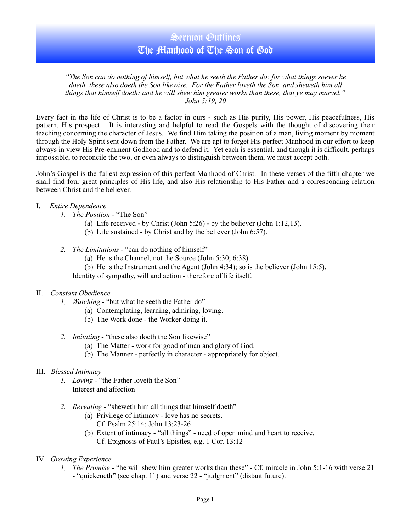## Sermon Outlines The Manhood of The Son of God

*"The Son can do nothing of himself, but what he seeth the Father do; for what things soever he doeth, these also doeth the Son likewise. For the Father loveth the Son, and sheweth him all things that himself doeth: and he will shew him greater works than these, that ye may marvel." John 5:19, 20* 

Every fact in the life of Christ is to be a factor in ours - such as His purity, His power, His peacefulness, His pattern, His prospect. It is interesting and helpful to read the Gospels with the thought of discovering their teaching concerning the character of Jesus. We find Him taking the position of a man, living moment by moment through the Holy Spirit sent down from the Father. We are apt to forget His perfect Manhood in our effort to keep always in view His Pre-eminent Godhood and to defend it. Yet each is essential, and though it is difficult, perhaps impossible, to reconcile the two, or even always to distinguish between them, we must accept both.

John's Gospel is the fullest expression of this perfect Manhood of Christ. In these verses of the fifth chapter we shall find four great principles of His life, and also His relationship to His Father and a corresponding relation between Christ and the believer.

- I. *Entire Dependence*
	- *1. The Position* "The Son"
		- (a) Life received by Christ (John  $5:26$ ) by the believer (John 1:12,13).
		- (b) Life sustained by Christ and by the believer (John 6:57).
	- *2. The Limitations* "can do nothing of himself"
		- (a) He is the Channel, not the Source (John 5:30; 6:38)
		- (b) He is the Instrument and the Agent (John 4:34); so is the believer (John 15:5).

Identity of sympathy, will and action - therefore of life itself.

- II. *Constant Obedience*
	- *1. Watching* "but what he seeth the Father do"
		- (a) Contemplating, learning, admiring, loving.
		- (b) The Work done the Worker doing it.
	- *2. Imitating* "these also doeth the Son likewise"
		- (a) The Matter work for good of man and glory of God.
		- (b) The Manner perfectly in character appropriately for object.

#### III. *Blessed Intimacy*

- *1. Loving* "the Father loveth the Son" Interest and affection
- *2. Revealing -* "sheweth him all things that himself doeth"
	- (a) Privilege of intimacy love has no secrets. Cf. Psalm 25:14; John 13:23-26
	- (b) Extent of intimacy "all things" need of open mind and heart to receive. Cf. Epignosis of Paul's Epistles, e.g. 1 Cor. 13:12
- IV. *Growing Experience*
	- *1. The Promise* "he will shew him greater works than these" Cf. miracle in John 5:1-16 with verse 21 - "quickeneth" (see chap. 11) and verse 22 - "judgment" (distant future).